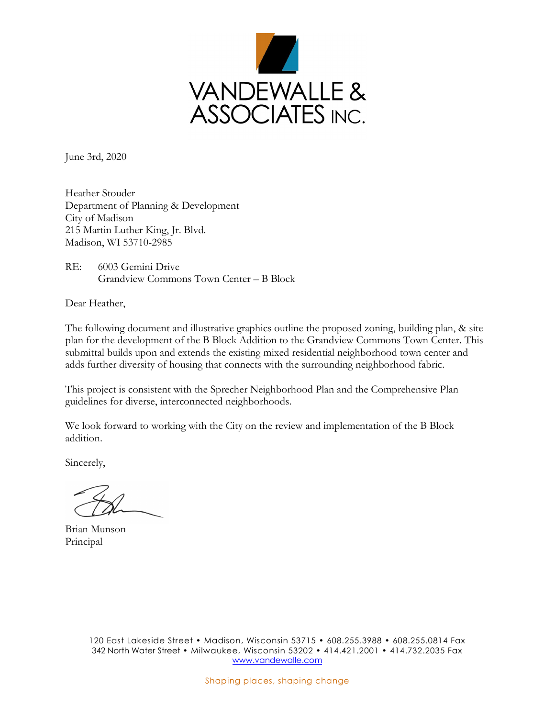

June 3rd, 2020

Heather Stouder Department of Planning & Development City of Madison 215 Martin Luther King, Jr. Blvd. Madison, WI 53710-2985

RE: 6003 Gemini Drive Grandview Commons Town Center – B Block

Dear Heather,

The following document and illustrative graphics outline the proposed zoning, building plan, & site plan for the development of the B Block Addition to the Grandview Commons Town Center. This submittal builds upon and extends the existing mixed residential neighborhood town center and adds further diversity of housing that connects with the surrounding neighborhood fabric.

This project is consistent with the Sprecher Neighborhood Plan and the Comprehensive Plan guidelines for diverse, interconnected neighborhoods.

We look forward to working with the City on the review and implementation of the B Block addition.

Sincerely,

Brian Munson Principal

120 East Lakeside Street • Madison, Wisconsin 53715 • 608.255.3988 • 608.255.0814 Fax 342 North Water Street • Milwaukee, Wisconsin 53202 • 414.421.2001 • 414.732.2035 Fax [www.vandewalle.com](http://www.vandewalle.com/)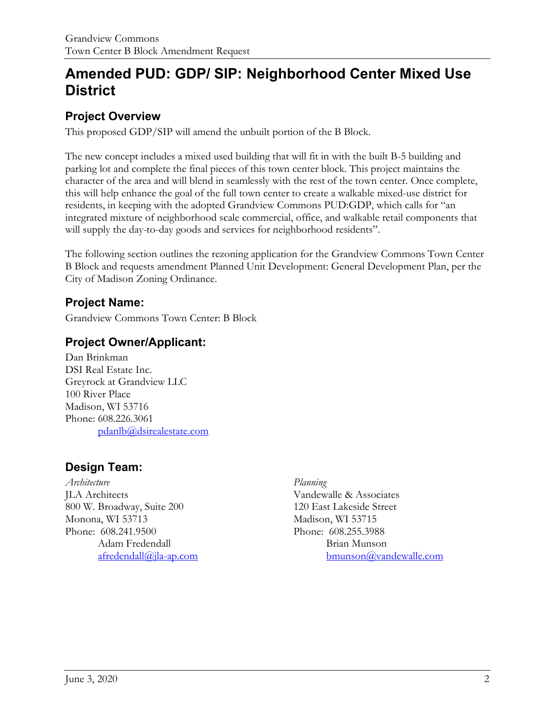# **Amended PUD: GDP/ SIP: Neighborhood Center Mixed Use District**

### **Project Overview**

This proposed GDP/SIP will amend the unbuilt portion of the B Block.

The new concept includes a mixed used building that will fit in with the built B-5 building and parking lot and complete the final pieces of this town center block. This project maintains the character of the area and will blend in seamlessly with the rest of the town center. Once complete, this will help enhance the goal of the full town center to create a walkable mixed-use district for residents, in keeping with the adopted Grandview Commons PUD:GDP, which calls for "an integrated mixture of neighborhood scale commercial, office, and walkable retail components that will supply the day-to-day goods and services for neighborhood residents".

The following section outlines the rezoning application for the Grandview Commons Town Center B Block and requests amendment Planned Unit Development: General Development Plan, per the City of Madison Zoning Ordinance.

### **Project Name:**

Grandview Commons Town Center: B Block

### **Project Owner/Applicant:**

Dan Brinkman DSI Real Estate Inc. Greyrock at Grandview LLC 100 River Place Madison, WI 53716 Phone: 608.226.3061 pdanlb@dsirealestate.com

### **Design Team:**

*Architecture* JLA Architects 800 W. Broadway, Suite 200 Monona, WI 53713 Phone: 608.241.9500 Adam Fredendall [afredendall@jla-ap.com](mailto:afredendall@jla-ap.com)

#### *Planning*

Vandewalle & Associates 120 East Lakeside Street Madison, WI 53715 Phone: 608.255.3988 Brian Munson [bmunson@vandewalle.com](mailto:bmunson@vandewalle.com)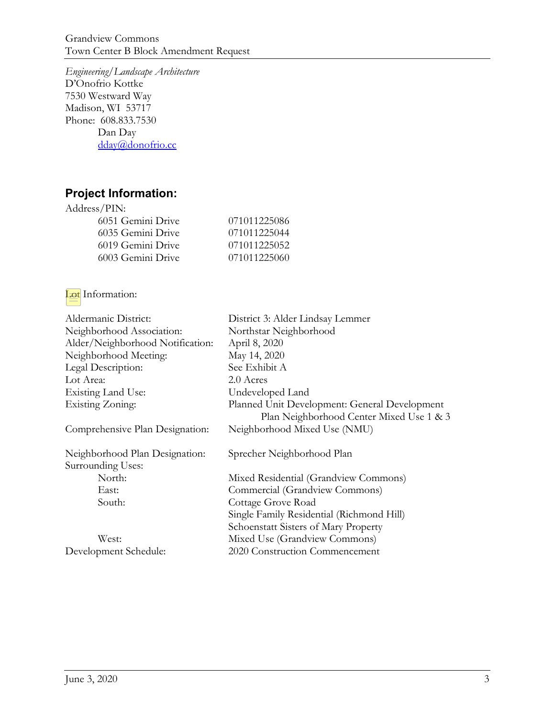Grandview Commons Town Center B Block Amendment Request

*Engineering/Landscape Architecture* D'Onofrio Kottke 7530 Westward Way Madison, WI 53717 Phone: 608.833.7530 Dan Day [dday@donofrio.cc](mailto:dday@donofrio.cc)

### **Project Information:**

| 071011225086 |
|--------------|
| 071011225044 |
| 071011225052 |
| 071011225060 |
|              |

#### **Lot** Information:

| Aldermanic District:             | District 3: Alder Lindsay Lemmer              |
|----------------------------------|-----------------------------------------------|
|                                  |                                               |
| Neighborhood Association:        | Northstar Neighborhood                        |
| Alder/Neighborhood Notification: | April 8, 2020                                 |
| Neighborhood Meeting:            | May 14, 2020                                  |
| Legal Description:               | See Exhibit A                                 |
| Lot Area:                        | 2.0 Acres                                     |
| Existing Land Use:               | Undeveloped Land                              |
| <b>Existing Zoning:</b>          | Planned Unit Development: General Development |
|                                  | Plan Neighborhood Center Mixed Use 1 & 3      |
| Comprehensive Plan Designation:  | Neighborhood Mixed Use (NMU)                  |
| Neighborhood Plan Designation:   | Sprecher Neighborhood Plan                    |
| Surrounding Uses:                |                                               |
| North:                           | Mixed Residential (Grandview Commons)         |
| East:                            | Commercial (Grandview Commons)                |
| South:                           | Cottage Grove Road                            |
|                                  | Single Family Residential (Richmond Hill)     |
|                                  | Schoenstatt Sisters of Mary Property          |
| West:                            | Mixed Use (Grandview Commons)                 |
| Development Schedule:            | 2020 Construction Commencement                |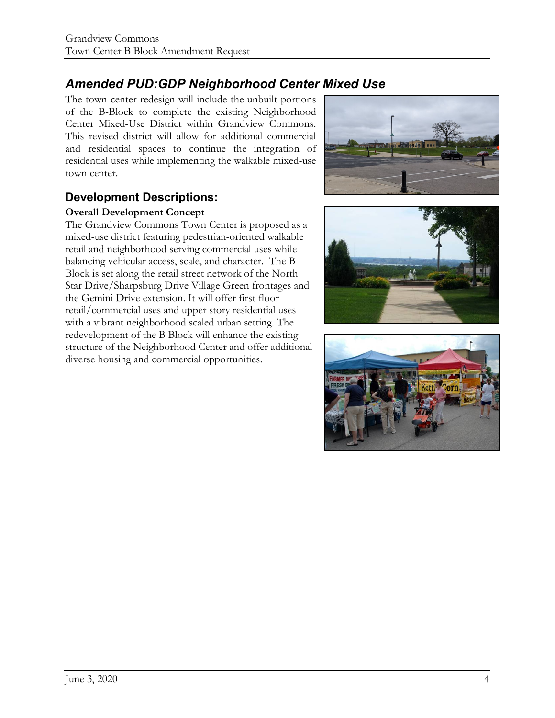## *Amended PUD:GDP Neighborhood Center Mixed Use*

The town center redesign will include the unbuilt portions of the B-Block to complete the existing Neighborhood Center Mixed-Use District within Grandview Commons. This revised district will allow for additional commercial and residential spaces to continue the integration of residential uses while implementing the walkable mixed-use town center.

### **Development Descriptions:**

#### **Overall Development Concept**

The Grandview Commons Town Center is proposed as a mixed-use district featuring pedestrian-oriented walkable retail and neighborhood serving commercial uses while balancing vehicular access, scale, and character. The B Block is set along the retail street network of the North Star Drive/Sharpsburg Drive Village Green frontages and the Gemini Drive extension. It will offer first floor retail/commercial uses and upper story residential uses with a vibrant neighborhood scaled urban setting. The redevelopment of the B Block will enhance the existing structure of the Neighborhood Center and offer additional diverse housing and commercial opportunities.





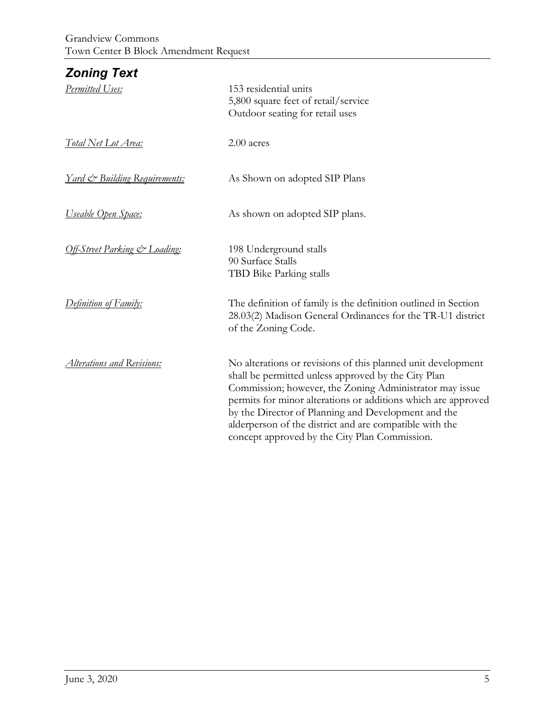| <b>Zoning Text</b>                       |                                                                                                                                                                                                                                                                                                                                                                                                                    |
|------------------------------------------|--------------------------------------------------------------------------------------------------------------------------------------------------------------------------------------------------------------------------------------------------------------------------------------------------------------------------------------------------------------------------------------------------------------------|
| Permitted Uses:                          | 153 residential units<br>5,800 square feet of retail/service<br>Outdoor seating for retail uses                                                                                                                                                                                                                                                                                                                    |
| Total Net Lot Area:                      | 2.00 acres                                                                                                                                                                                                                                                                                                                                                                                                         |
| <u>Yard &amp; Building Requirements:</u> | As Shown on adopted SIP Plans                                                                                                                                                                                                                                                                                                                                                                                      |
| <u>Useable Open Space:</u>               | As shown on adopted SIP plans.                                                                                                                                                                                                                                                                                                                                                                                     |
| Off-Street Parking & Loading:            | 198 Underground stalls<br>90 Surface Stalls<br>TBD Bike Parking stalls                                                                                                                                                                                                                                                                                                                                             |
| Definition of Family:                    | The definition of family is the definition outlined in Section<br>28.03(2) Madison General Ordinances for the TR-U1 district<br>of the Zoning Code.                                                                                                                                                                                                                                                                |
| Alterations and Revisions:               | No alterations or revisions of this planned unit development<br>shall be permitted unless approved by the City Plan<br>Commission; however, the Zoning Administrator may issue<br>permits for minor alterations or additions which are approved<br>by the Director of Planning and Development and the<br>alderperson of the district and are compatible with the<br>concept approved by the City Plan Commission. |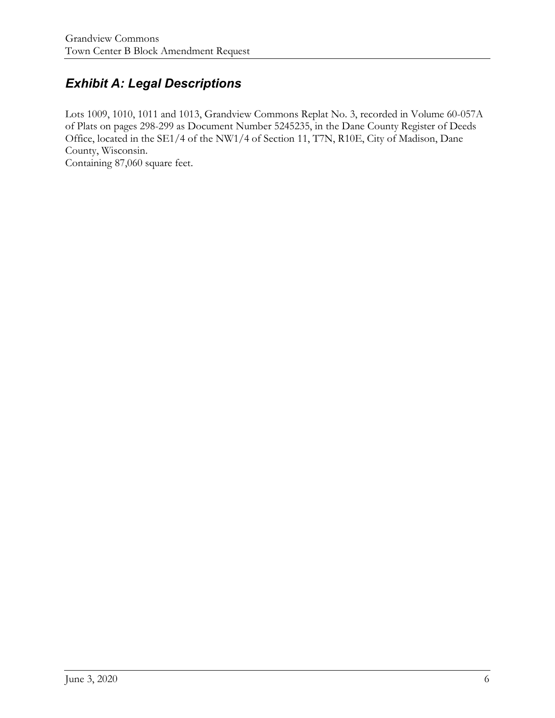## *Exhibit A: Legal Descriptions*

Lots 1009, 1010, 1011 and 1013, Grandview Commons Replat No. 3, recorded in Volume 60-057A of Plats on pages 298-299 as Document Number 5245235, in the Dane County Register of Deeds Office, located in the SE1/4 of the NW1/4 of Section 11, T7N, R10E, City of Madison, Dane County, Wisconsin.

Containing 87,060 square feet.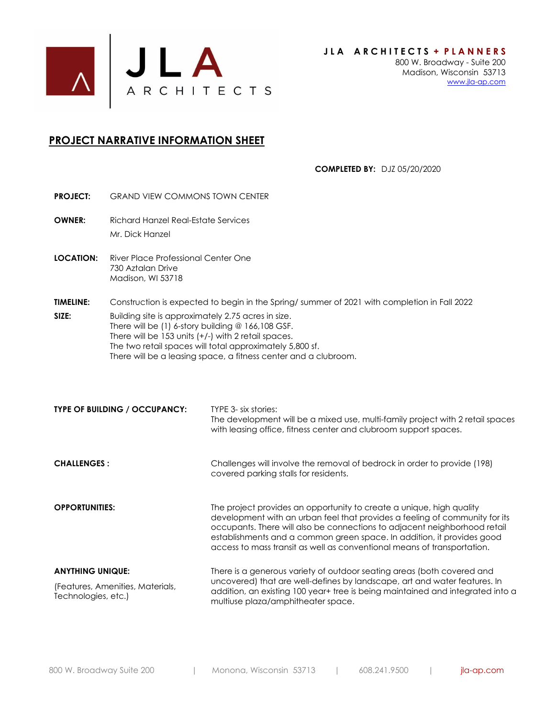

#### **PROJECT NARRATIVE INFORMATION SHEET**

**COMPLETED BY:** DJZ 05/20/2020

- **PROJECT:** GRAND VIEW COMMONS TOWN CENTER **OWNER:** Richard Hanzel Real-Estate Services Mr. Dick Hanzel
- **LOCATION:** River Place Professional Center One 730 Aztalan Drive Madison, WI 53718
- **TIMELINE:** Construction is expected to begin in the Spring/ summer of 2021 with completion in Fall 2022
- **SIZE:** Building site is approximately 2.75 acres in size. There will be (1) 6-story building @ 166,108 GSF. There will be 153 units (+/-) with 2 retail spaces. The two retail spaces will total approximately 5,800 sf. There will be a leasing space, a fitness center and a clubroom.

| <b>TYPE OF BUILDING / OCCUPANCY:</b>                    | TYPE 3- six stories:<br>The development will be a mixed use, multi-family project with 2 retail spaces<br>with leasing office, fitness center and clubroom support spaces.                                                                                                                                                                                                            |  |
|---------------------------------------------------------|---------------------------------------------------------------------------------------------------------------------------------------------------------------------------------------------------------------------------------------------------------------------------------------------------------------------------------------------------------------------------------------|--|
| <b>CHALLENGES:</b>                                      | Challenges will involve the removal of bedrock in order to provide (198)<br>covered parking stalls for residents.                                                                                                                                                                                                                                                                     |  |
| <b>OPPORTUNITIES:</b>                                   | The project provides an opportunity to create a unique, high quality<br>development with an urban feel that provides a feeling of community for its<br>occupants. There will also be connections to adjacent neighborhood retail<br>establishments and a common green space. In addition, it provides good<br>access to mass transit as well as conventional means of transportation. |  |
| <b>ANYTHING UNIQUE:</b>                                 | There is a generous variety of outdoor seating areas (both covered and<br>uncovered) that are well-defines by landscape, art and water features. In<br>addition, an existing 100 year+ tree is being maintained and integrated into a<br>multiuse plaza/amphitheater space.                                                                                                           |  |
| (Features, Amenities, Materials,<br>Technologies, etc.) |                                                                                                                                                                                                                                                                                                                                                                                       |  |